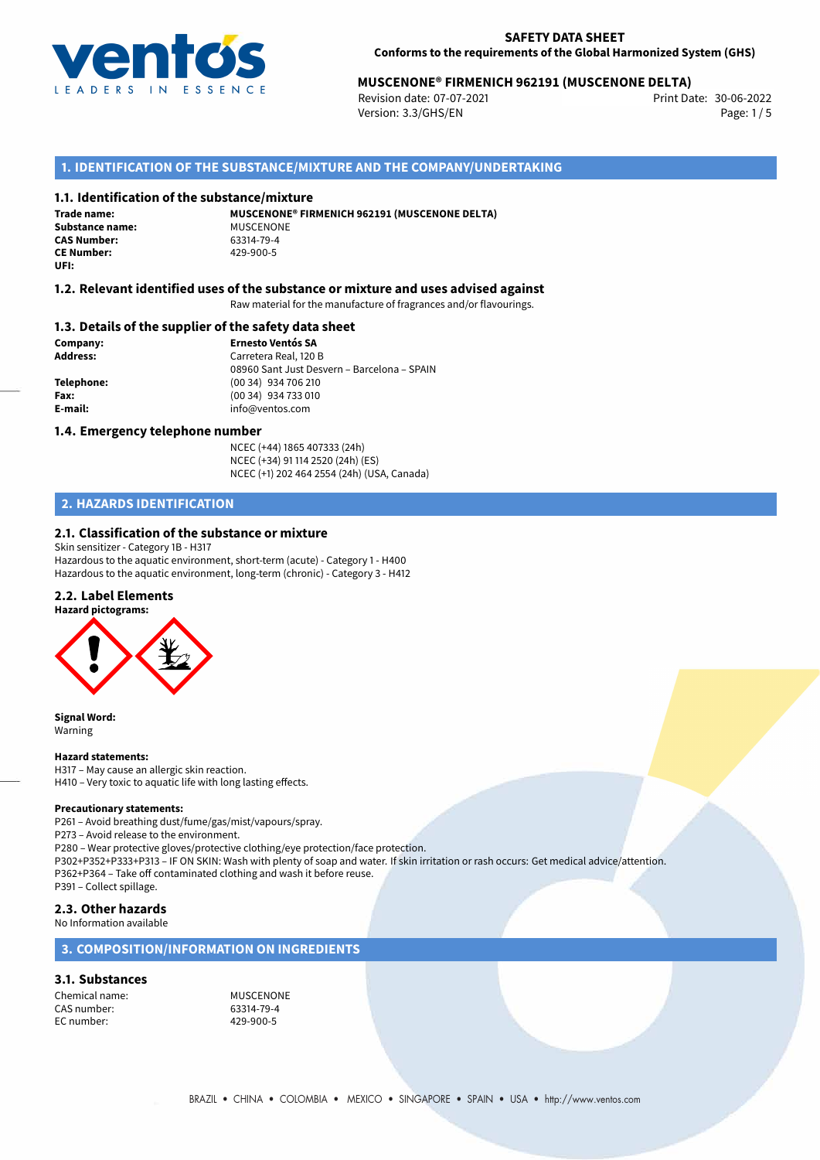

# **MUSCENONE® FIRMENICH 962191 (MUSCENONE DELTA)**<br>2006-2022 Print Date: 07-07-2021

Revision date: 07-07-2021 Version: 3.3/GHS/EN Page: 1/5

# **1. IDENTIFICATION OF THE SUBSTANCE/MIXTURE AND THE COMPANY/UNDERTAKING**

#### **1.1. Identification of the substance/mixture**

**Trade name: Substance name:** MUSCENONE<br> **CAS Number:** 63314-79-4 **CAS Number: CE Number:** 429-900-5 **UFI:**

**MUSCENONE® FIRMENICH 962191 (MUSCENONE DELTA)**

#### **1.2. Relevant identified uses of the substance or mixture and uses advised against**

Raw material for the manufacture of fragrances and/or flavourings.

#### **1.3. Details of the supplier of the safety data sheet**

**Company: Ernesto Ventós SA Address:** Carretera Real, 120 B 08960 Sant Just Desvern – Barcelona – SPAIN **Telephone:** (00 34) 934 706 210 **Fax:** (00 34) 934 733 010 **E-mail:** info@ventos.com

#### **1.4. Emergency telephone number**

NCEC (+44) 1865 407333 (24h) NCEC (+34) 91 114 2520 (24h) (ES) NCEC (+1) 202 464 2554 (24h) (USA, Canada)

# **2. HAZARDS IDENTIFICATION**

# **2.1. Classification of the substance or mixture**

Skin sensitizer - Category 1B - H317 Hazardous to the aquatic environment, short-term (acute) - Category 1 - H400 Hazardous to the aquatic environment, long-term (chronic) - Category 3 - H412

# **2.2. Label Elements**



**Signal Word:** Warning

#### **Hazard statements:**

H317 – May cause an allergic skin reaction. H410 – Very toxic to aquatic life with long lasting effects.

#### **Precautionary statements:**

P261 – Avoid breathing dust/fume/gas/mist/vapours/spray.

P273 – Avoid release to the environment.

P280 – Wear protective gloves/protective clothing/eye protection/face protection.

P302+P352+P333+P313 – IF ON SKIN: Wash with plenty of soap and water. If skin irritation or rash occurs: Get medical advice/attention. P362+P364 – Take off contaminated clothing and wash it before reuse.

P391 – Collect spillage.

## **2.3. Other hazards**

No Information available

# **3. COMPOSITION/INFORMATION ON INGREDIENTS**

#### **3.1. Substances**

Chemical name:<br>
CAS number:<br>
CAS number:<br>
CAS number: CAS number: 63314-79-4<br>EC number: 429-900-5 EC number: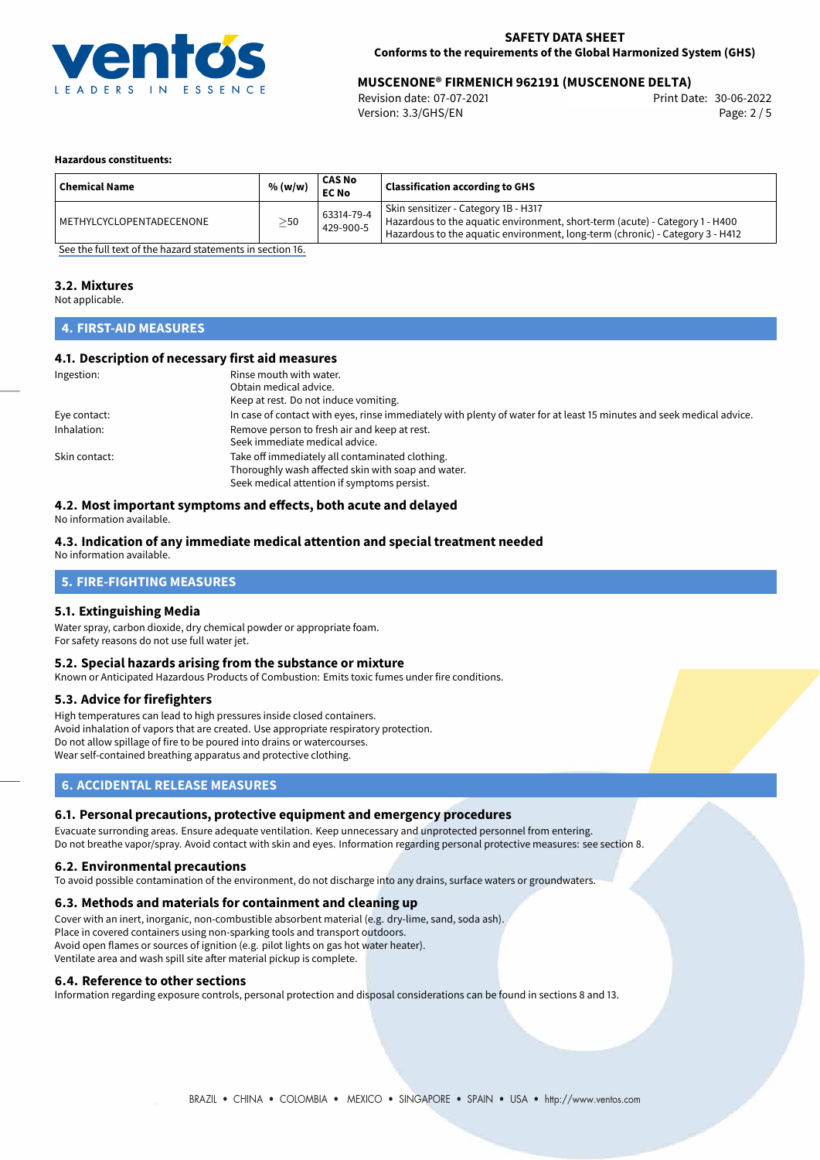

# 30-06-2022 **MUSCENONE® FIRMENICH 962191 (MUSCENONE DELTA)**

Revision date: 07-07-2021 Version: 3.3/GHS/EN Page: 2 / 5

#### **Hazardous constituents:**

| <b>Chemical Name</b>     | % (w/w)   | <b>CAS No</b><br><b>EC No</b> | <b>Classification according to GHS</b>                                                                                                                                                                |
|--------------------------|-----------|-------------------------------|-------------------------------------------------------------------------------------------------------------------------------------------------------------------------------------------------------|
| METHYLCYCLOPENTADECENONE | $\geq$ 50 | 63314-79-4<br>429-900-5       | Skin sensitizer - Category 1B - H317<br>Hazardous to the aquatic environment, short-term (acute) - Category 1 - H400<br>Hazardous to the aquatic environment, long-term (chronic) - Category 3 - H412 |

[See the full text of the hazard statements in section 16.](#page-4-0)

#### **3.2. Mixtures**

Not applicable.

# **4. FIRST-AID MEASURES**

#### **4.1. Description of necessary first aid measures**

| Ingestion:    | Rinse mouth with water.                                                                                               |  |  |
|---------------|-----------------------------------------------------------------------------------------------------------------------|--|--|
|               | Obtain medical advice.                                                                                                |  |  |
|               | Keep at rest. Do not induce vomiting.                                                                                 |  |  |
| Eye contact:  | In case of contact with eyes, rinse immediately with plenty of water for at least 15 minutes and seek medical advice. |  |  |
| Inhalation:   | Remove person to fresh air and keep at rest.                                                                          |  |  |
|               | Seek immediate medical advice.                                                                                        |  |  |
| Skin contact: | Take off immediately all contaminated clothing.                                                                       |  |  |
|               | Thoroughly wash affected skin with soap and water.                                                                    |  |  |
|               | Seek medical attention if symptoms persist.                                                                           |  |  |

# **4.2. Most important symptoms and effects, both acute and delayed**

No information available.

#### **4.3. Indication of any immediate medical attention and special treatment needed**

No information available.

# **5. FIRE-FIGHTING MEASURES**

#### **5.1. Extinguishing Media**

Water spray, carbon dioxide, dry chemical powder or appropriate foam. For safety reasons do not use full water jet.

#### **5.2. Special hazards arising from the substance or mixture**

Known or Anticipated Hazardous Products of Combustion: Emits toxic fumes under fire conditions.

#### **5.3. Advice for firefighters**

High temperatures can lead to high pressures inside closed containers. Avoid inhalation of vapors that are created. Use appropriate respiratory protection. Do not allow spillage of fire to be poured into drains or watercourses. Wear self-contained breathing apparatus and protective clothing.

# **6. ACCIDENTAL RELEASE MEASURES**

#### **6.1. Personal precautions, protective equipment and emergency procedures**

Evacuate surronding areas. Ensure adequate ventilation. Keep unnecessary and unprotected personnel from entering. Do not breathe vapor/spray. Avoid contact with skin and eyes. Information regarding personal protective measures: see section 8.

#### **6.2. Environmental precautions**

To avoid possible contamination of the environment, do not discharge into any drains, surface waters or groundwaters.

#### **6.3. Methods and materials for containment and cleaning up**

Cover with an inert, inorganic, non-combustible absorbent material (e.g. dry-lime, sand, soda ash). Place in covered containers using non-sparking tools and transport outdoors. Avoid open flames or sources of ignition (e.g. pilot lights on gas hot water heater). Ventilate area and wash spill site after material pickup is complete.

#### **6.4. Reference to other sections**

Information regarding exposure controls, personal protection and disposal considerations can be found in sections 8 and 13.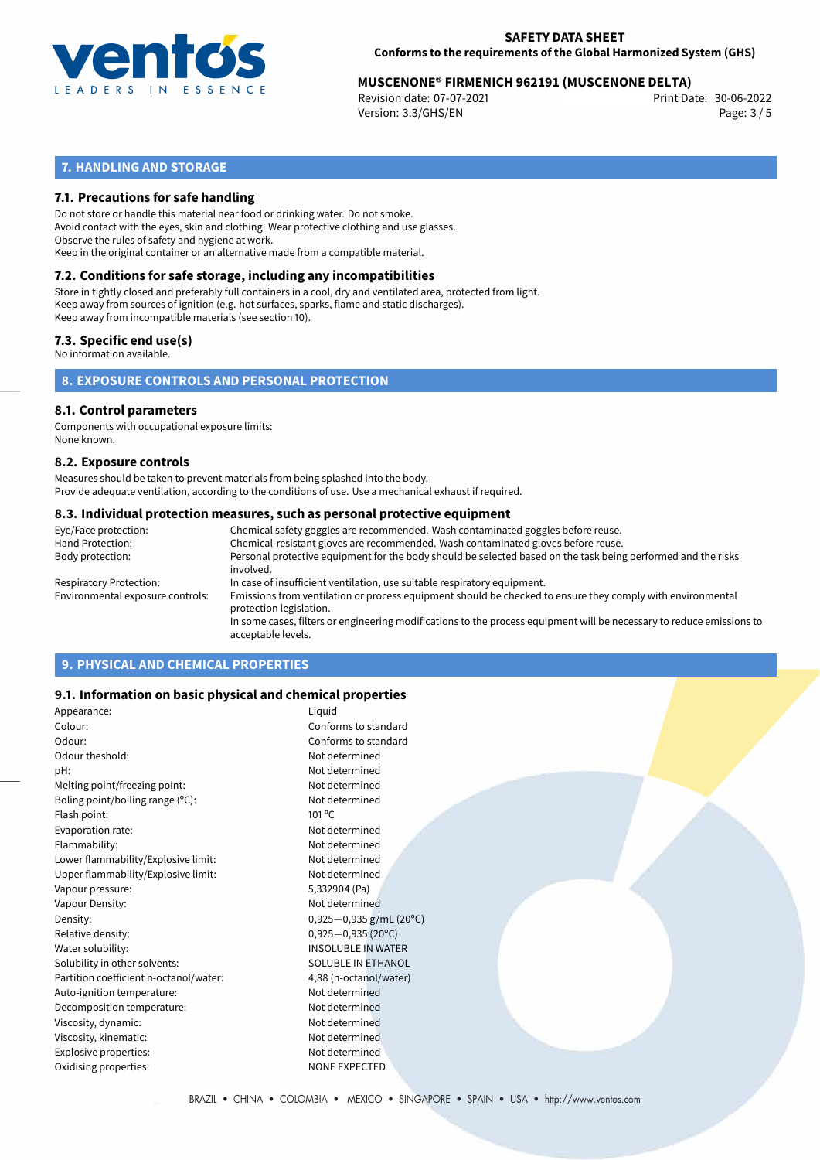

# **MUSCENONE® FIRMENICH 962191 (MUSCENONE DELTA)**<br>30-06-2022 Print Date: 07-07-2021

Revision date: 07-07-2021 Version: 3.3/GHS/EN Page: 3 / 5

# **7. HANDLING AND STORAGE**

## **7.1. Precautions for safe handling**

Do not store or handle this material near food or drinking water. Do not smoke. Avoid contact with the eyes, skin and clothing. Wear protective clothing and use glasses. Observe the rules of safety and hygiene at work. Keep in the original container or an alternative made from a compatible material.

# **7.2. Conditions for safe storage, including any incompatibilities**

Store in tightly closed and preferably full containers in a cool, dry and ventilated area, protected from light. Keep away from sources of ignition (e.g. hot surfaces, sparks, flame and static discharges). Keep away from incompatible materials (see section 10).

# **7.3. Specific end use(s)**

No information available.

**8. EXPOSURE CONTROLS AND PERSONAL PROTECTION**

#### **8.1. Control parameters**

Components with occupational exposure limits: None known.

#### **8.2. Exposure controls**

Measures should be taken to prevent materials from being splashed into the body. Provide adequate ventilation, according to the conditions of use. Use a mechanical exhaust if required.

#### **8.3. Individual protection measures, such as personal protective equipment**

| Eye/Face protection:             | Chemical safety goggles are recommended. Wash contaminated goggles before reuse.                                                            |  |  |  |  |
|----------------------------------|---------------------------------------------------------------------------------------------------------------------------------------------|--|--|--|--|
| Hand Protection:                 | Chemical-resistant gloves are recommended. Wash contaminated gloves before reuse.                                                           |  |  |  |  |
| Body protection:                 | Personal protective equipment for the body should be selected based on the task being performed and the risks<br>involved.                  |  |  |  |  |
| Respiratory Protection:          | In case of insufficient ventilation, use suitable respiratory equipment.                                                                    |  |  |  |  |
| Environmental exposure controls: | Emissions from ventilation or process equipment should be checked to ensure they comply with environmental<br>protection legislation.       |  |  |  |  |
|                                  | In some cases, filters or engineering modifications to the process equipment will be necessary to reduce emissions to<br>acceptable levels. |  |  |  |  |
|                                  |                                                                                                                                             |  |  |  |  |

# **9. PHYSICAL AND CHEMICAL PROPERTIES**

## **9.1. Information on basic physical and chemical properties**

| Appearance:                            | Liquid                    |
|----------------------------------------|---------------------------|
| Colour:                                | Conforms to standard      |
| Odour:                                 | Conforms to standard      |
| Odour theshold:                        | Not determined            |
| pH:                                    | Not determined            |
| Melting point/freezing point:          | Not determined            |
| Boling point/boiling range (°C):       | Not determined            |
| Flash point:                           | 101 °C                    |
| Evaporation rate:                      | Not determined            |
| Flammability:                          | Not determined            |
| Lower flammability/Explosive limit:    | Not determined            |
| Upper flammability/Explosive limit:    | Not determined            |
| Vapour pressure:                       | 5,332904 (Pa)             |
| Vapour Density:                        | Not determined            |
| Density:                               | $0,925-0,935$ g/mL (20°C) |
| Relative density:                      | $0,925 - 0,935$ (20°C)    |
| Water solubility:                      | <b>INSOLUBLE IN WATER</b> |
| Solubility in other solvents:          | <b>SOLUBLE IN ETHANOL</b> |
| Partition coefficient n-octanol/water: | 4,88 (n-octanol/water)    |
| Auto-ignition temperature:             | Not determined            |
| Decomposition temperature:             | Not determined            |
| Viscosity, dynamic:                    | Not determined            |
| Viscosity, kinematic:                  | Not determined            |
| Explosive properties:                  | Not determined            |
| Oxidising properties:                  | <b>NONE EXPECTED</b>      |
|                                        |                           |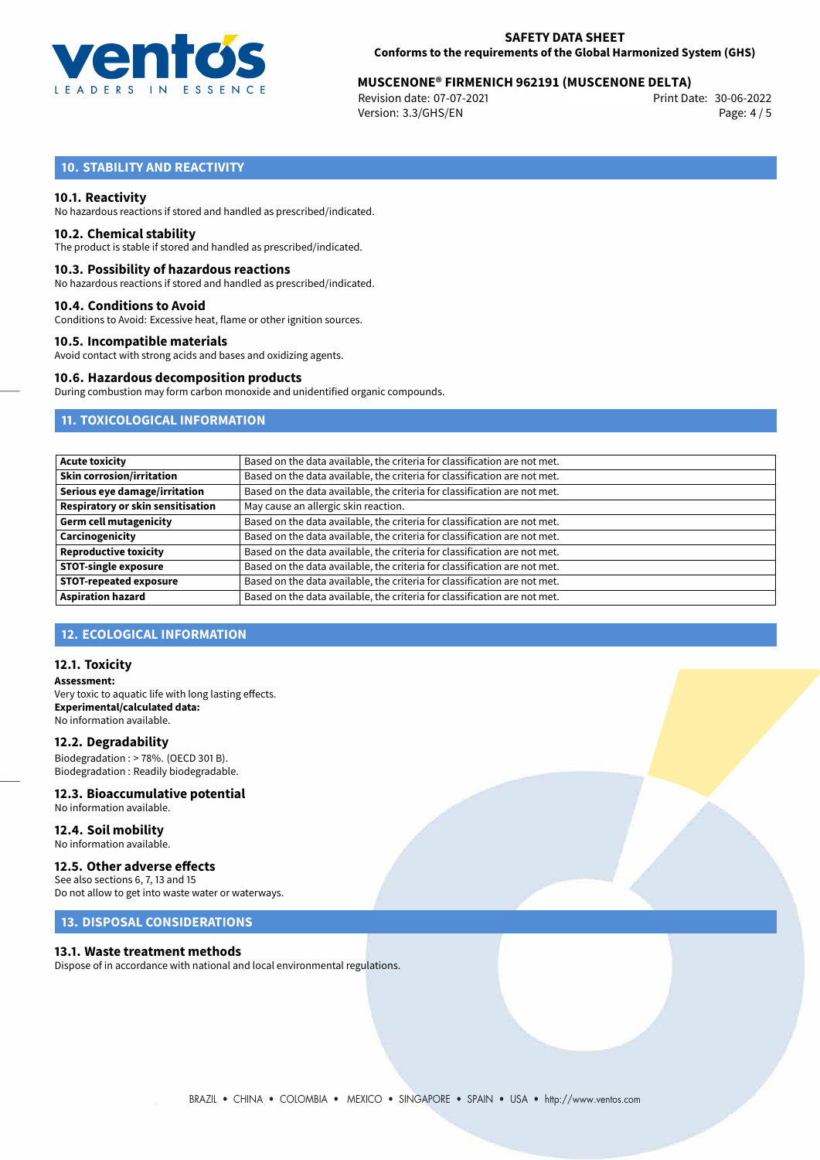

# **MUSCENONE® FIRMENICH 962191 (MUSCENONE DELTA)**<br>2006-2022 Print Date: 07-07-2021

Revision date: 07-07-2021 Version: 3.3/GHS/EN Page: 4 / 5

# **10. STABILITY AND REACTIVITY**

#### **10.1. Reactivity**

No hazardous reactions if stored and handled as prescribed/indicated.

# **10.2. Chemical stability**

The product is stable if stored and handled as prescribed/indicated.

#### **10.3. Possibility of hazardous reactions**

No hazardous reactions if stored and handled as prescribed/indicated.

#### **10.4. Conditions to Avoid**

Conditions to Avoid: Excessive heat, flame or other ignition sources.

#### **10.5. Incompatible materials**

Avoid contact with strong acids and bases and oxidizing agents.

## **10.6. Hazardous decomposition products**

During combustion may form carbon monoxide and unidentified organic compounds.

# **11. TOXICOLOGICAL INFORMATION**

| <b>Acute toxicity</b>             | Based on the data available, the criteria for classification are not met. |
|-----------------------------------|---------------------------------------------------------------------------|
|                                   |                                                                           |
| Skin corrosion/irritation         | Based on the data available, the criteria for classification are not met. |
| Serious eye damage/irritation     | Based on the data available, the criteria for classification are not met. |
| Respiratory or skin sensitisation | May cause an allergic skin reaction.                                      |
| Germ cell mutagenicity            | Based on the data available, the criteria for classification are not met. |
| Carcinogenicity                   | Based on the data available, the criteria for classification are not met. |
| Reproductive toxicity             | Based on the data available, the criteria for classification are not met. |
| <b>STOT-single exposure</b>       | Based on the data available, the criteria for classification are not met. |
| <b>STOT-repeated exposure</b>     | Based on the data available, the criteria for classification are not met. |
| <b>Aspiration hazard</b>          | Based on the data available, the criteria for classification are not met. |

# **12. ECOLOGICAL INFORMATION**

#### **12.1. Toxicity**

**Assessment:** Very toxic to aquatic life with long lasting effects. **Experimental/calculated data:** No information available.

#### **12.2. Degradability**

Biodegradation : > 78%. (OECD 301 B). Biodegradation : Readily biodegradable.

# **12.3. Bioaccumulative potential**

No information available.

#### **12.4. Soil mobility** No information available.

## **12.5. Other adverse effects**

See also sections 6, 7, 13 and 15 Do not allow to get into waste water or waterways.

# **13. DISPOSAL CONSIDERATIONS**

## **13.1. Waste treatment methods**

Dispose of in accordance with national and local environmental regulations.